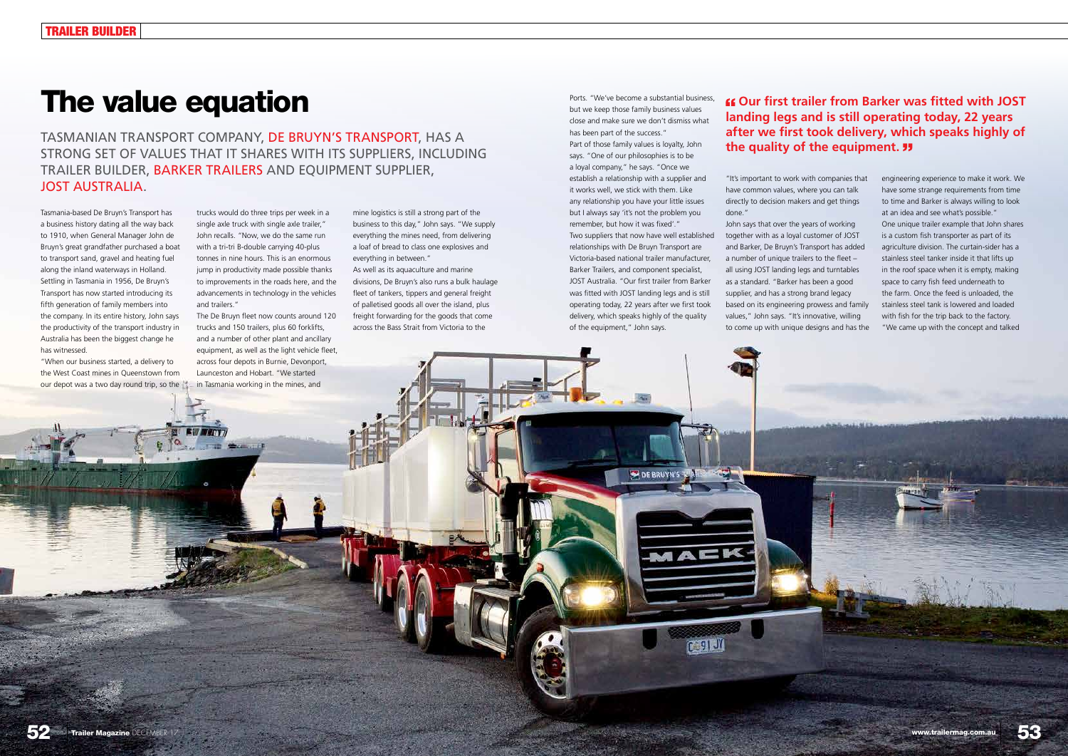Ports. "We've become a substantial business, but we keep those family business values close and make sure we don't dismiss what has been part of the success."

Part of those family values is loyalty, John says. "One of our philosophies is to be a loyal company," he says. "Once we establish a relationship with a supplier and it works well, we stick with them. Like any relationship you have your little issues but I always say 'it's not the problem you remember, but how it was fixed'." Two suppliers that now have well established

relationships with De Bruyn Transport are Victoria-based national trailer manufacturer, Barker Trailers, and component specialist, JOST Australia. "Our first trailer from Barker was fitted with JOST landing legs and is still operating today, 22 years after we first took delivery, which speaks highly of the quality of the equipment," John says.

**DE BRUYN** 

"It's important to work with companies that have common values, where you can talk directly to decision makers and get things done."

John says that over the years of working together with as a loyal customer of JOST and Barker, De Bruyn's Transport has added a number of unique trailers to the fleet – all using JOST landing legs and turntables as a standard. "Barker has been a good supplier, and has a strong brand legacy based on its engineering prowess and family values," John says. "It's innovative, willing to come up with unique designs and has the



engineering experience to make it work. We have some strange requirements from time to time and Barker is always willing to look at an idea and see what's possible." One unique trailer example that John shares is a custom fish transporter as part of its agriculture division. The curtain-sider has a stainless steel tanker inside it that lifts up in the roof space when it is empty, making space to carry fish feed underneath to the farm. Once the feed is unloaded, the stainless steel tank is lowered and loaded with fish for the trip back to the factory. "We came up with the concept and talked



# The value equation

Tasmania-based De Bruyn's Transport has a business history dating all the way back to 1910, when General Manager John de Bruyn's great grandfather purchased a boat to transport sand, gravel and heating fuel along the inland waterways in Holland. Settling in Tasmania in 1956, De Bruyn's Transport has now started introducing its fifth generation of family members into the company. In its entire history, John says the productivity of the transport industry in Australia has been the biggest change he has witnessed.

"When our business started, a delivery to the West Coast mines in Queenstown from our depot was a two day round trip, so the trucks would do three trips per week in a single axle truck with single axle trailer," John recalls. "Now, we do the same run with a tri-tri B-double carrying 40-plus tonnes in nine hours. This is an enormous jump in productivity made possible thanks to improvements in the roads here, and the advancements in technology in the vehicles and trailers."

The De Bruyn fleet now counts around 120 trucks and 150 trailers, plus 60 forklifts, and a number of other plant and ancillary equipment, as well as the light vehicle fleet, across four depots in Burnie, Devonport, Launceston and Hobart. "We started in Tasmania working in the mines, and

mine logistics is still a strong part of the business to this day," John says. "We supply everything the mines need, from delivering a loaf of bread to class one explosives and everything in between."

As well as its aquaculture and marine divisions, De Bruyn's also runs a bulk haulage fleet of tankers, tippers and general freight of palletised goods all over the island, plus freight forwarding for the goods that come across the Bass Strait from Victoria to the

TASMANIAN TRANSPORT COMPANY, DE BRUYN'S TRANSPORT, HAS A STRONG SET OF VALUES THAT IT SHARES WITH ITS SUPPLIERS, INCLUDING TRAILER BUILDER, BARKER TRAILERS AND EQUIPMENT SUPPLIER, JOST AUSTRALIA.

## **Our first trailer from Barker was fitted with JOST landing legs and is still operating today, 22 years after we first took delivery, which speaks highly of the quality of the equipment.**